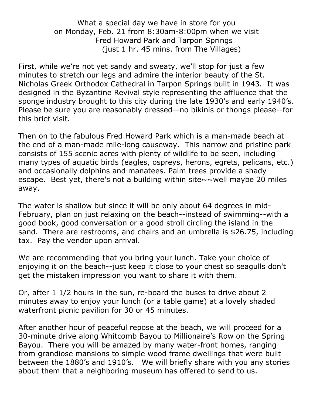What a special day we have in store for you on Monday, Feb. 21 from 8:30am-8:00pm when we visit Fred Howard Park and Tarpon Springs (just 1 hr. 45 mins. from The Villages)

First, while we're not yet sandy and sweaty, we'll stop for just a few minutes to stretch our legs and admire the interior beauty of the St. Nicholas Greek Orthodox Cathedral in Tarpon Springs built in 1943. It was designed in the Byzantine Revival style representing the affluence that the sponge industry brought to this city during the late 1930's and early 1940's. Please be sure you are reasonably dressed—no bikinis or thongs please--for this brief visit.

Then on to the fabulous Fred Howard Park which is a man-made beach at the end of a man-made mile-long causeway. This narrow and pristine park consists of 155 scenic acres with plenty of wildlife to be seen, including many types of aquatic birds (eagles, ospreys, herons, egrets, pelicans, etc.) and occasionally dolphins and manatees. Palm trees provide a shady escape. Best yet, there's not a building within site $\sim$  well maybe 20 miles away.

The water is shallow but since it will be only about 64 degrees in mid-February, plan on just relaxing on the beach--instead of swimming--with a good book, good conversation or a good stroll circling the island in the sand. There are restrooms, and chairs and an umbrella is \$26.75, including tax. Pay the vendor upon arrival.

We are recommending that you bring your lunch. Take your choice of enjoying it on the beach--just keep it close to your chest so seagulls don't get the mistaken impression you want to share it with them.

Or, after 1 1/2 hours in the sun, re-board the buses to drive about 2 minutes away to enjoy your lunch (or a table game) at a lovely shaded waterfront picnic pavilion for 30 or 45 minutes.

After another hour of peaceful repose at the beach, we will proceed for a 30-minute drive along Whitcomb Bayou to Millionaire's Row on the Spring Bayou. There you will be amazed by many water-front homes, ranging from grandiose mansions to simple wood frame dwellings that were built between the 1880's and 1910's. We will briefly share with you any stories about them that a neighboring museum has offered to send to us.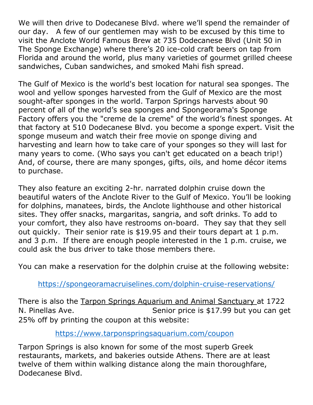We will then drive to Dodecanese Blvd. where we'll spend the remainder of our day. A few of our gentlemen may wish to be excused by this time to visit the Anclote World Famous Brew at 735 Dodecanese Blvd (Unit 50 in The Sponge Exchange) where there's 20 ice-cold craft beers on tap from Florida and around the world, plus many varieties of gourmet grilled cheese sandwiches, Cuban sandwiches, and smoked Mahi fish spread.

The Gulf of Mexico is the world's best location for natural sea sponges. The wool and yellow sponges harvested from the Gulf of Mexico are the most sought-after sponges in the world. Tarpon Springs harvests about 90 percent of all of the world's sea sponges and Spongeorama's Sponge Factory offers you the "creme de la creme" of the world's finest sponges. At that factory at 510 Dodecanese Blvd. you become a sponge expert. Visit the sponge museum and watch their free movie on sponge diving and harvesting and learn how to take care of your sponges so they will last for many years to come. (Who says you can't get educated on a beach trip!) And, of course, there are many sponges, gifts, oils, and home décor items to purchase.

They also feature an exciting 2-hr. narrated dolphin cruise down the beautiful waters of the Anclote River to the Gulf of Mexico. You'll be looking for dolphins, manatees, birds, the Anclote lighthouse and other historical sites. They offer snacks, margaritas, sangria, and soft drinks. To add to your comfort, they also have restrooms on-board. They say that they sell out quickly. Their senior rate is \$19.95 and their tours depart at 1 p.m. and 3 p.m. If there are enough people interested in the 1 p.m. cruise, we could ask the bus driver to take those members there.

You can make a reservation for the dolphin cruise at the following website:

[https://spongeoramacruiselines.com/dolphin-cruise-reservations/](about:blank)

There is also the Tarpon Springs Aquarium and Animal Sanctuary at 1722 N. Pinellas Ave. Senior price is \$17.99 but you can get 25% off by printing the coupon at this website:

[https://www.tarponspringsaquarium.com/coupon](about:blank)

Tarpon Springs is also known for some of the most superb Greek restaurants, markets, and bakeries outside Athens. There are at least twelve of them within walking distance along the main thoroughfare, Dodecanese Blvd.